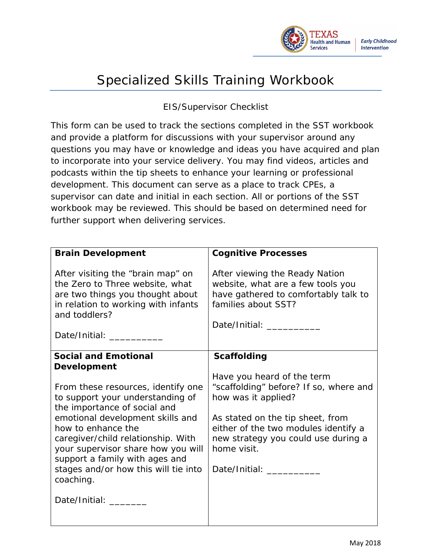

## Specialized Skills Training Workbook

EIS/Supervisor Checklist

This form can be used to track the sections completed in the SST workbook and provide a platform for discussions with your supervisor around any questions you may have or knowledge and ideas you have acquired and plan to incorporate into your service delivery. You may find videos, articles and podcasts within the tip sheets to enhance your learning or professional development. This document can serve as a place to track CPEs, a supervisor can date and initial in each section. All or portions of the SST workbook may be reviewed. This should be based on determined need for further support when delivering services.

| <b>Brain Development</b>                                                                                                                                                                                                                                                                                                                                                          | <b>Cognitive Processes</b>                                                                                                                                                                                                                              |
|-----------------------------------------------------------------------------------------------------------------------------------------------------------------------------------------------------------------------------------------------------------------------------------------------------------------------------------------------------------------------------------|---------------------------------------------------------------------------------------------------------------------------------------------------------------------------------------------------------------------------------------------------------|
| After visiting the "brain map" on<br>the Zero to Three website, what<br>are two things you thought about<br>in relation to working with infants<br>and toddlers?<br>Date/Initial: ______                                                                                                                                                                                          | After viewing the Ready Nation<br>website, what are a few tools you<br>have gathered to comfortably talk to<br>families about SST?<br>Date/Initial: __________                                                                                          |
| <b>Social and Emotional</b>                                                                                                                                                                                                                                                                                                                                                       | <b>Scaffolding</b>                                                                                                                                                                                                                                      |
| <b>Development</b><br>From these resources, identify one<br>to support your understanding of<br>the importance of social and<br>emotional development skills and<br>how to enhance the<br>caregiver/child relationship. With<br>your supervisor share how you will<br>support a family with ages and<br>stages and/or how this will tie into<br>coaching.<br>Date/Initial: ______ | Have you heard of the term<br>"scaffolding" before? If so, where and<br>how was it applied?<br>As stated on the tip sheet, from<br>either of the two modules identify a<br>new strategy you could use during a<br>home visit.<br>Date/Initial: ________ |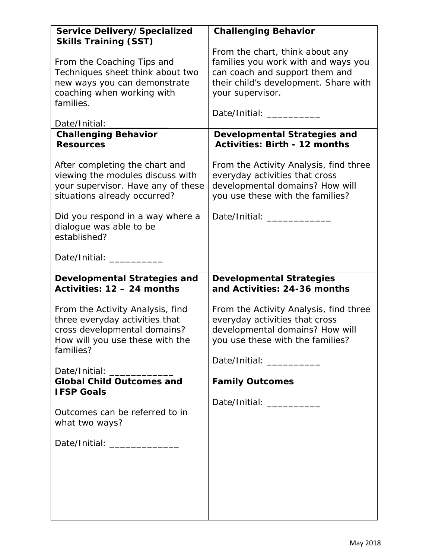| Service Delivery/Specialized                                       | <b>Challenging Behavior</b>                                            |
|--------------------------------------------------------------------|------------------------------------------------------------------------|
| <b>Skills Training (SST)</b>                                       |                                                                        |
| From the Coaching Tips and                                         | From the chart, think about any<br>families you work with and ways you |
| Techniques sheet think about two                                   | can coach and support them and                                         |
| new ways you can demonstrate                                       | their child's development. Share with                                  |
| coaching when working with                                         | your supervisor.                                                       |
| families.                                                          | Date/Initial:                                                          |
| Date/Initial:                                                      |                                                                        |
| <b>Challenging Behavior</b>                                        | <b>Developmental Strategies and</b>                                    |
| <b>Resources</b>                                                   | <b>Activities: Birth - 12 months</b>                                   |
| After completing the chart and                                     | From the Activity Analysis, find three                                 |
| viewing the modules discuss with                                   | everyday activities that cross                                         |
| your supervisor. Have any of these<br>situations already occurred? | developmental domains? How will<br>you use these with the families?    |
| Did you respond in a way where a                                   | Date/Initial: _________                                                |
| dialogue was able to be                                            |                                                                        |
| established?                                                       |                                                                        |
| Date/Initial:                                                      |                                                                        |
| Developmental Strategies and                                       | <b>Developmental Strategies</b>                                        |
| Activities: 12 - 24 months                                         | and Activities: 24-36 months                                           |
|                                                                    |                                                                        |
| From the Activity Analysis, find                                   | From the Activity Analysis, find three                                 |
| three everyday activities that                                     | everyday activities that cross                                         |
| cross developmental domains?                                       | developmental domains? How will                                        |
| How will you use these with the                                    | you use these with the families?                                       |
| families?                                                          |                                                                        |
| Date/Initial:                                                      | Date/Initial: ___________                                              |
| <b>Global Child Outcomes and</b>                                   | <b>Family Outcomes</b>                                                 |
| <b>IFSP Goals</b>                                                  |                                                                        |
|                                                                    | Date/Initial: ____________                                             |
| Outcomes can be referred to in                                     |                                                                        |
| what two ways?                                                     |                                                                        |
| Date/Initial: _______________                                      |                                                                        |
|                                                                    |                                                                        |
|                                                                    |                                                                        |
|                                                                    |                                                                        |
|                                                                    |                                                                        |